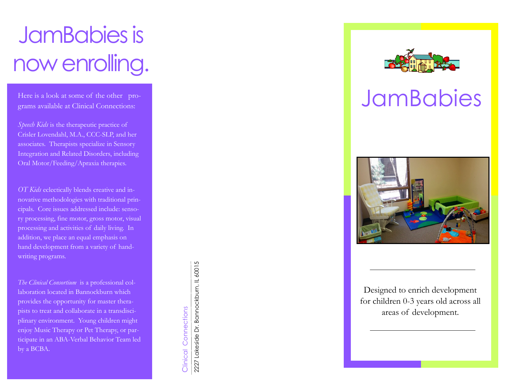# JamBabies is now enrolling.

Here is a look at some of the other programs available at Clinical Connections:

*Speech Kids* is the therapeutic practice of Crisler Lovendahl, M.A., CCC -SLP, and her associates. Therapists specialize in Sensory Integration and Related Disorders, including Oral Motor/Feeding/Apraxia therapies.

*OT Kids* eclectically blends creative and innovative methodologies with traditional principals. Core issues addressed include: sensory processing, fine motor, gross motor, visual processing and activities of daily living. In addition, we place an equal emphasis on hand development from a variety of handwriting programs.

*The Clinical Consortium* is a professional collaboration located in Bannockburn which provides the opportunity for master therapists to treat and collaborate in a transdisciplinary environment. Young children might enjoy Music Therapy or Pet Therapy, or participate in an ABA-Verbal Behavior Team led by a BCBA.

2227 Lakeside Dr. Bannockburn, IL 60015 2227 Lakeside Dr. Bannockburn, IL 60015 Clinical Connections Clinical Connections

## JamBabies



Designed to enrich development for children 0 -3 years old across all areas of development.